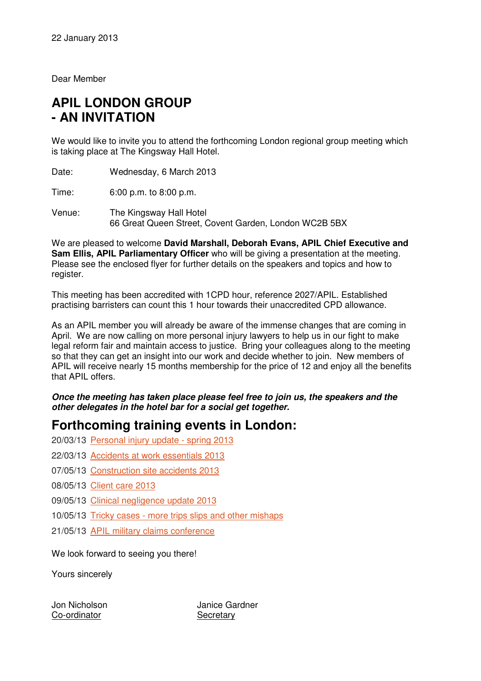Dear Member

# **APIL LONDON GROUP - AN INVITATION**

We would like to invite you to attend the forthcoming London regional group meeting which is taking place at The Kingsway Hall Hotel.

Date: Wednesday, 6 March 2013

Time: 6:00 p.m. to 8:00 p.m.

Venue: The Kingsway Hall Hotel 66 Great Queen Street, Covent Garden, London WC2B 5BX

We are pleased to welcome **David Marshall, Deborah Evans, APIL Chief Executive and Sam Ellis, APIL Parliamentary Officer** who will be giving a presentation at the meeting. Please see the enclosed flyer for further details on the speakers and topics and how to register.

This meeting has been accredited with 1CPD hour, reference 2027/APIL. Established practising barristers can count this 1 hour towards their unaccredited CPD allowance.

As an APIL member you will already be aware of the immense changes that are coming in April. We are now calling on more personal injury lawyers to help us in our fight to make legal reform fair and maintain access to justice. Bring your colleagues along to the meeting so that they can get an insight into our work and decide whether to join. New members of APIL will receive nearly 15 months membership for the price of 12 and enjoy all the benefits that APIL offers.

**Once the meeting has taken place please feel free to join us, the speakers and the other delegates in the hotel bar for a social get together.** 

# **Forthcoming training events in London:**

- 20/03/13 Personal injury update spring 2013
- 22/03/13 Accidents at work essentials 2013
- 07/05/13 Construction site accidents 2013
- 08/05/13 Client care 2013
- 09/05/13 Clinical negligence update 2013
- 10/05/13 Tricky cases more trips slips and other mishaps
- 21/05/13 APIL military claims conference

We look forward to seeing you there!

Yours sincerely

Co-ordinator Secretary

Jon Nicholson Janice Gardner